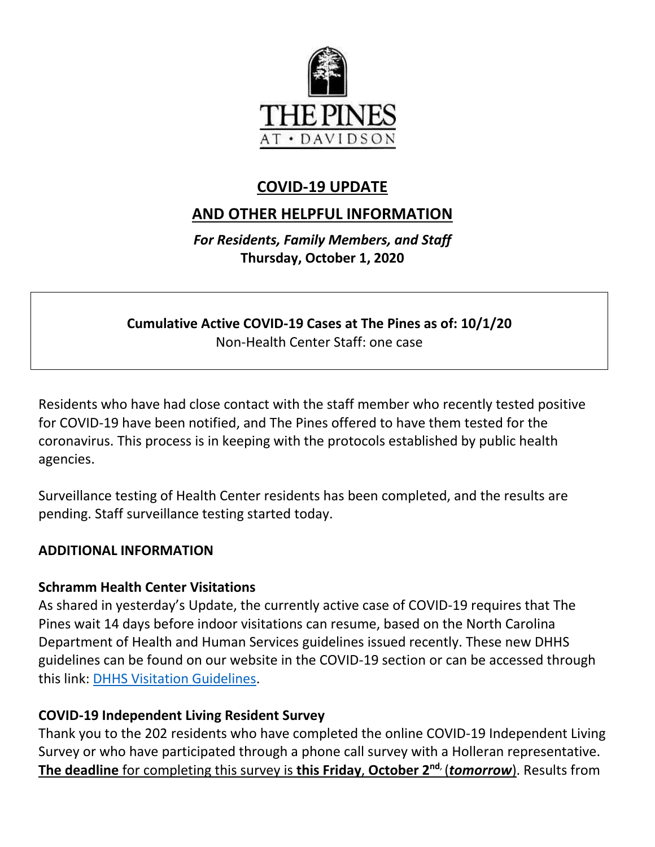

# **COVID-19 UPDATE**

# **AND OTHER HELPFUL INFORMATION**

*For Residents, Family Members, and Staff* **Thursday, October 1, 2020**

**Cumulative Active COVID-19 Cases at The Pines as of: 10/1/20** Non-Health Center Staff: one case

Residents who have had close contact with the staff member who recently tested positive for COVID-19 have been notified, and The Pines offered to have them tested for the coronavirus. This process is in keeping with the protocols established by public health agencies.

Surveillance testing of Health Center residents has been completed, and the results are pending. Staff surveillance testing started today.

#### **ADDITIONAL INFORMATION**

#### **Schramm Health Center Visitations**

As shared in yesterday's Update, the currently active case of COVID-19 requires that The Pines wait 14 days before indoor visitations can resume, based on the North Carolina Department of Health and Human Services guidelines issued recently. These new DHHS guidelines can be found on our website in the COVID-19 section or can be accessed through this link: [DHHS Visitation Guidelines.](https://www.mycommunity-center.com/filephotos/463/Guidance-on-Visitation-for-Larger-Residential-Settings%20092820.pdf)

#### **COVID-19 Independent Living Resident Survey**

Thank you to the 202 residents who have completed the online COVID-19 Independent Living Survey or who have participated through a phone call survey with a Holleran representative. **The deadline** for completing this survey is **this Friday**, **October 2nd**, (*tomorrow*). Results from